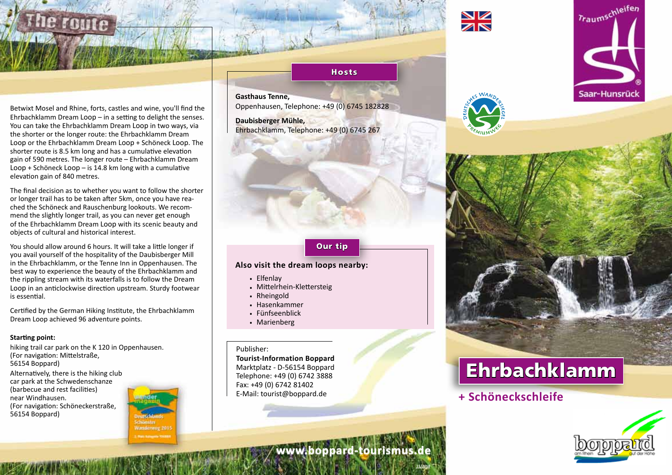

Betwixt Mosel and Rhine, forts, castles and wine, you'll find the Ehrbachklamm Dream Loop – in a setting to delight the senses. You can take the Ehrbachklamm Dream Loop in two ways, via the shorter or the longer route: the Ehrbachklamm Dream Loop or the Ehrbachklamm Dream Loop + Schöneck Loop. The shorter route is 8.5 km long and has a cumulative elevation gain of 590 metres. The longer route – Ehrbachklamm Dream Loop + Schöneck Loop – is 14.8 km long with a cumulative elevation gain of 840 metres.

The final decision as to whether you want to follow the shorter or longer trail has to be taken after 5km, once you have reached the Schöneck and Rauschenburg lookouts. We recommend the slightly longer trail, as you can never get enough of the Ehrbachklamm Dream Loop with its scenic beauty and objects of cultural and historical interest.

You should allow around 6 hours. It will take a little longer if you avail yourself of the hospitality of the Daubisberger Mill in the Ehrbachklamm, or the Tenne Inn in Oppenhausen. The best way to experience the beauty of the Ehrbachklamm and the rippling stream with its waterfalls is to follow the Dream Loop in an anticlockwise direction upstream. Sturdy footwear is essential.

Certified by the German Hiking Institute, the Ehrbachklamm Dream Loop achieved 96 adventure points.

#### **Starting point:**

hiking trail car park on the K 120 in Oppenhausen. (For navigation: Mittelstraße, 56154 Boppard) Alternatively, there is the hiking club car park at the Schwedenschanze (barbecue and rest facilities) near Windhausen. (For navigation: Schöneckerstraße, 56154 Boppard)



#### **Hosts**

**Gasthaus Tenne,**  Oppenhausen, Telephone: +49 (0) 6745 182828

**Daubisberger Mühle,**  Ehrbachklamm, Telephone: +49 (0) 6745 267

### Our tip

#### **Also visit the dream loops nearby:**

- . Elfenlay
- . Mittelrhein-Klettersteig
- . Rheingold
- . Hasenkammer
- . Fünfseenblick
- . Marienberg

#### Publisher:

**Tourist-Information Boppard** Marktplatz - D-56154 Boppard Telephone: +49 (0) 6742 3888 Fax: +49 (0) 6742 81402 E-Mail: tourist@boppard.de





# Ehrbachklamm

### **+ Schöneckschleife**



**www.boppard-tourismus.de**

**11/2018**